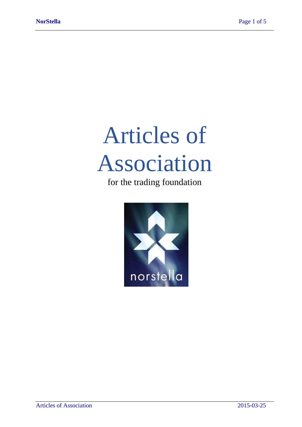# Articles of Association

for the trading foundation

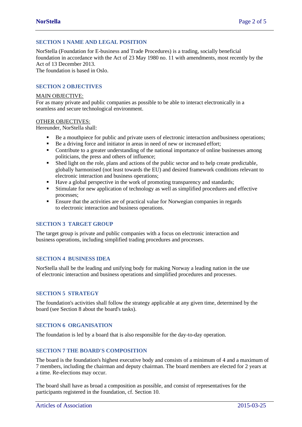# **SECTION 1 NAME AND LEGAL POSITION**

NorStella (Foundation for E-business and Trade Procedures) is a trading, socially beneficial foundation in accordance with the Act of 23 May 1980 no. 11 with amendments, most recently by the Act of 13 December 2013. The foundation is based in Oslo.

## **SECTION 2 OBJECTIVES**

#### MAIN OBJECTIVE:

For as many private and public companies as possible to be able to interact electronically in a seamless and secure technological environment.

#### OTHER OBJECTIVES:

Hereunder, NorStella shall:

- Be a mouthpiece for public and private users of electronic interaction and business operations;
- Be a driving force and initiator in areas in need of new or increased effort;
- Contribute to a greater understanding of the national importance of online businesses among politicians, the press and others of influence;
- Shed light on the role, plans and actions of the public sector and to help create predictable, globally harmonised (not least towards the EU) and desired framework conditions relevant to electronic interaction and business operations;
- Have a global perspective in the work of promoting transparency and standards;
- **Example 1** Stimulate for new application of technology as well as simplified procedures and effective processes;
- **Ensure that the activities are of practical value for Norwegian companies in regards** to electronic interaction and business operations.

#### **SECTION 3 TARGET GROUP**

The target group is private and public companies with a focus on electronic interaction and business operations, including simplified trading procedures and processes.

#### **SECTION 4 BUSINESS IDEA**

NorStella shall be the leading and unifying body for making Norway a leading nation in the use of electronic interaction and business operations and simplified procedures and processes.

#### **SECTION 5 STRATEGY**

The foundation's activities shall follow the strategy applicable at any given time, determined by the board (see Section 8 about the board's tasks).

## **SECTION 6 ORGANISATION**

The foundation is led by a board that is also responsible for the day-to-day operation.

#### **SECTION 7 THE BOARD'S COMPOSITION**

The board is the foundation's highest executive body and consists of a minimum of 4 and a maximum of 7 members, including the chairman and deputy chairman. The board members are elected for 2 years at a time. Re-elections may occur.

The board shall have as broad a composition as possible, and consist of representatives for the participants registered in the foundation, cf. Section 10.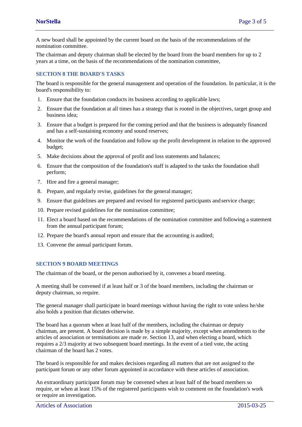A new board shall be appointed by the current board on the basis of the recommendations of the nomination committee.

The chairman and deputy chairman shall be elected by the board from the board members for up to 2 years at a time, on the basis of the recommendations of the nomination committee,

## **SECTION 8 THE BOARD'S TASKS**

The board is responsible for the general management and operation of the foundation. In particular, it is the board's responsibility to:

- 1. Ensure that the foundation conducts its business according to applicable laws;
- 2. Ensure that the foundation at all times has a strategy that is rooted in the objectives, target group and business idea;
- 3. Ensure that a budget is prepared for the coming period and that the business is adequately financed and has a self-sustaining economy and sound reserves;
- 4. Monitor the work of the foundation and follow up the profit development in relation to the approved budget;
- 5. Make decisions about the approval of profit and loss statements and balances;
- 6. Ensure that the composition of the foundation's staff is adapted to the tasks the foundation shall perform;
- 7. Hire and fire a general manager;
- 8. Prepare, and regularly revise, guidelines for the general manager;
- 9. Ensure that guidelines are prepared and revised for registered participants and service charge;
- 10. Prepare revised guidelines for the nomination committee;
- 11. Elect a board based on the recommendations of the nomination committee and following a statement from the annual participant forum;
- 12. Prepare the board's annual report and ensure that the accounting is audited;
- 13. Convene the annual participant forum.

#### **SECTION 9 BOARD MEETINGS**

The chairman of the board, or the person authorised by it, convenes a board meeting.

A meeting shall be convened if at least half or 3 of the board members, including the chairman or deputy chairman, so require.

The general manager shall participate in board meetings without having the right to vote unless he/she also holds a position that dictates otherwise.

The board has a quorum when at least half of the members, including the chairman or deputy chairman, are present. A board decision is made by a simple majority, except when amendments to the articles of association or terminations are made re. Section 13, and when electing a board, which requires a 2/3 majority at two subsequent board meetings. In the event of a tied vote, the acting chairman of the board has 2 votes.

The board is responsible for and makes decisions regarding all matters that are not assigned to the participant forum or any other forum appointed in accordance with these articles of association.

An extraordinary participant forum may be convened when at least half of the board members so require, or when at least 15% of the registered participants wish to comment on the foundation's work or require an investigation.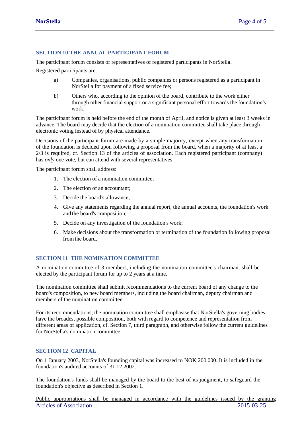#### **SECTION 10 THE ANNUAL PARTICIPANT FORUM**

The participant forum consists of representatives of registered participants in NorStella.

Registered participants are:

- a) Companies, organisations, public companies or persons registered as a participant in NorStella for payment of a fixed service fee;
- b) Others who, according to the opinion of the board, contribute to the work either through other financial support or a significant personal effort towards the foundation's work.

The participant forum is held before the end of the month of April, and notice is given at least 3 weeks in advance. The board may decide that the election of a nomination committee shall take place through electronic voting instead of by physical attendance.

Decisions of the participant forum are made by a simple majority, except when any transformation of the foundation is decided upon following a proposal from the board, when a majority of at least a 2/3 is required, cf. Section 13 of the articles of association. Each registered participant (company) has *only* one vote, but can attend with several representatives.

The participant forum shall address:

- 1. The election of a nomination committee;
- 2. The election of an accountant;
- 3. Decide the board's allowance;
- 4. Give any statements regarding the annual report, the annual accounts, the foundation's work and the board's composition;
- 5. Decide on any investigation of the foundation's work;
- 6. Make decisions about the transformation or termination of the foundation following proposal from the board.

## **SECTION 11 THE NOMINATION COMMITTEE**

A nomination committee of 3 members, including the nomination committee's chairman, shall be elected by the participant forum for up to 2 years at a time.

The nomination committee shall submit recommendations to the current board of any change to the board's composition, to new board members, including the board chairman, deputy chairman and members of the nomination committee.

For its recommendations, the nomination committee shall emphasise that NorStella's governing bodies have the broadest possible composition, both with regard to competence and representation from different areas of application, cf. Section 7, third paragraph, and otherwise follow the current guidelines for NorStella's nomination committee.

# **SECTION 12 CAPITAL**

On 1 January 2003, NorStella's founding capital was increased to NOK 200 000. It is included in the foundation's audited accounts of 31.12.2002.

The foundation's funds shall be managed by the board to the best of its judgment, to safeguard the foundation's objective as described in Section 1.

Articles of Association 2015-03-25 Public appropriations shall be managed in accordance with the guidelines issued by the granting